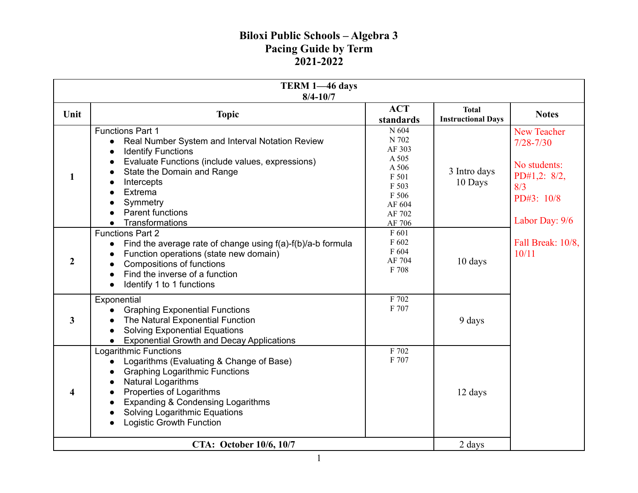| TERM 1-46 days<br>$8/4 - 10/7$ |                                                                                                                                                                                                                                                                                     |                                                                                                     |                                           |                                                                                                            |
|--------------------------------|-------------------------------------------------------------------------------------------------------------------------------------------------------------------------------------------------------------------------------------------------------------------------------------|-----------------------------------------------------------------------------------------------------|-------------------------------------------|------------------------------------------------------------------------------------------------------------|
| Unit                           | <b>Topic</b>                                                                                                                                                                                                                                                                        | <b>ACT</b><br>standards                                                                             | <b>Total</b><br><b>Instructional Days</b> | <b>Notes</b>                                                                                               |
| 1                              | <b>Functions Part 1</b><br>Real Number System and Interval Notation Review<br><b>Identify Functions</b><br>Evaluate Functions (include values, expressions)<br>State the Domain and Range<br>Intercepts<br>Extrema<br>Symmetry<br><b>Parent functions</b><br>Transformations        | N 604<br>N 702<br>AF 303<br>A 505<br>A 506<br>F 501<br>F 503<br>F 506<br>AF 604<br>AF 702<br>AF 706 | 3 Intro days<br>10 Days                   | <b>New Teacher</b><br>$7/28 - 7/30$<br>No students:<br>PD#1,2: 8/2,<br>8/3<br>PD#3: 10/8<br>Labor Day: 9/6 |
| $\overline{2}$                 | <b>Functions Part 2</b><br>Find the average rate of change using f(a)-f(b)/a-b formula<br>Function operations (state new domain)<br>Compositions of functions<br>Find the inverse of a function<br>Identify 1 to 1 functions                                                        | F 601<br>F 602<br>F 604<br>AF 704<br>F 708                                                          | 10 days                                   | Fall Break: 10/8,<br>10/11                                                                                 |
| 3                              | Exponential<br><b>Graphing Exponential Functions</b><br>The Natural Exponential Function<br><b>Solving Exponential Equations</b><br><b>Exponential Growth and Decay Applications</b><br>$\bullet$                                                                                   | F 702<br>F 707                                                                                      | 9 days                                    |                                                                                                            |
| 4                              | <b>Logarithmic Functions</b><br>Logarithms (Evaluating & Change of Base)<br><b>Graphing Logarithmic Functions</b><br>Natural Logarithms<br>Properties of Logarithms<br>Expanding & Condensing Logarithms<br><b>Solving Logarithmic Equations</b><br><b>Logistic Growth Function</b> | F 702<br>F 707                                                                                      | 12 days                                   |                                                                                                            |
| CTA: October 10/6, 10/7        |                                                                                                                                                                                                                                                                                     |                                                                                                     | 2 days                                    |                                                                                                            |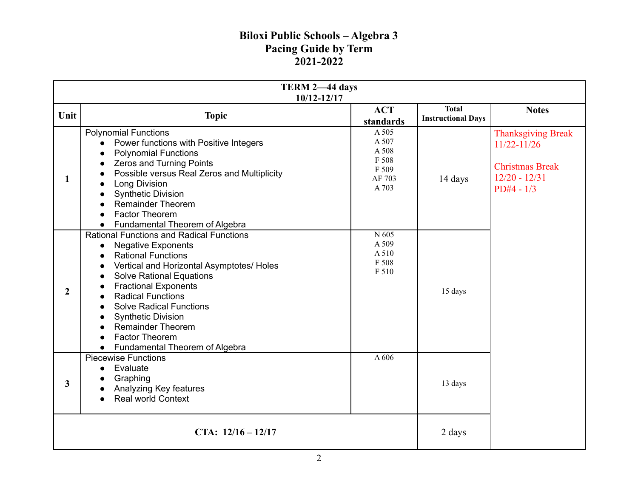| TERM 2-44 days<br>10/12-12/17 |                                                                                                                                                                                                                                                                                                                                                                                                                               |                                                              |                                           |                                                                                                           |
|-------------------------------|-------------------------------------------------------------------------------------------------------------------------------------------------------------------------------------------------------------------------------------------------------------------------------------------------------------------------------------------------------------------------------------------------------------------------------|--------------------------------------------------------------|-------------------------------------------|-----------------------------------------------------------------------------------------------------------|
| Unit                          | <b>Topic</b>                                                                                                                                                                                                                                                                                                                                                                                                                  | <b>ACT</b><br>standards                                      | <b>Total</b><br><b>Instructional Days</b> | <b>Notes</b>                                                                                              |
| 1                             | <b>Polynomial Functions</b><br>Power functions with Positive Integers<br><b>Polynomial Functions</b><br>Zeros and Turning Points<br>Possible versus Real Zeros and Multiplicity<br><b>Long Division</b><br><b>Synthetic Division</b><br><b>Remainder Theorem</b><br>Factor Theorem<br>Fundamental Theorem of Algebra<br>$\bullet$                                                                                             | A 505<br>A 507<br>A 508<br>F 508<br>F 509<br>AF 703<br>A 703 | 14 days                                   | <b>Thanksgiving Break</b><br>$11/22 - 11/26$<br><b>Christmas Break</b><br>$12/20 - 12/31$<br>$PD#4 - 1/3$ |
| $\overline{2}$                | <b>Rational Functions and Radical Functions</b><br><b>Negative Exponents</b><br><b>Rational Functions</b><br>Vertical and Horizontal Asymptotes/ Holes<br><b>Solve Rational Equations</b><br>$\bullet$<br><b>Fractional Exponents</b><br><b>Radical Functions</b><br><b>Solve Radical Functions</b><br><b>Synthetic Division</b><br><b>Remainder Theorem</b><br>Factor Theorem<br>Fundamental Theorem of Algebra<br>$\bullet$ | $\overline{N}$ 605<br>A 509<br>A 510<br>F 508<br>F 510       | 15 days                                   |                                                                                                           |
| 3                             | <b>Piecewise Functions</b><br>Evaluate<br>$\bullet$<br>Graphing<br>Analyzing Key features<br><b>Real world Context</b>                                                                                                                                                                                                                                                                                                        | A 606                                                        | 13 days                                   |                                                                                                           |
| CTA: $12/16 - 12/17$          |                                                                                                                                                                                                                                                                                                                                                                                                                               |                                                              | 2 days                                    |                                                                                                           |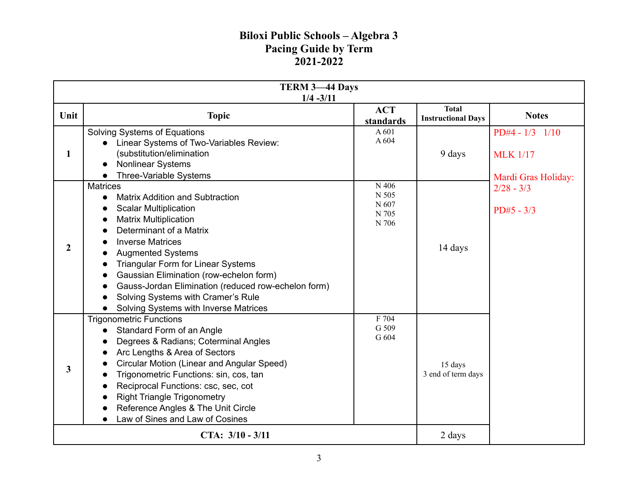| <b>TERM 3-44 Days</b><br>$1/4 - 3/11$ |                                                                                                                                                                                                                                                                                                                                                                                                                                                        |                                                     |                                           |                                                               |
|---------------------------------------|--------------------------------------------------------------------------------------------------------------------------------------------------------------------------------------------------------------------------------------------------------------------------------------------------------------------------------------------------------------------------------------------------------------------------------------------------------|-----------------------------------------------------|-------------------------------------------|---------------------------------------------------------------|
| Unit                                  | <b>Topic</b>                                                                                                                                                                                                                                                                                                                                                                                                                                           | <b>ACT</b><br>standards                             | <b>Total</b><br><b>Instructional Days</b> | <b>Notes</b>                                                  |
| 1                                     | Solving Systems of Equations<br>• Linear Systems of Two-Variables Review:<br>(substitution/elimination<br>Nonlinear Systems<br>Three-Variable Systems                                                                                                                                                                                                                                                                                                  | A 601<br>A 604                                      | 9 days                                    | $PD#4 - 1/3$ $1/10$<br><b>MLK</b> 1/17<br>Mardi Gras Holiday: |
| $\overline{2}$                        | <b>Matrices</b><br><b>Matrix Addition and Subtraction</b><br>$\bullet$<br><b>Scalar Multiplication</b><br><b>Matrix Multiplication</b><br>Determinant of a Matrix<br><b>Inverse Matrices</b><br><b>Augmented Systems</b><br><b>Triangular Form for Linear Systems</b><br>Gaussian Elimination (row-echelon form)<br>Gauss-Jordan Elimination (reduced row-echelon form)<br>Solving Systems with Cramer's Rule<br>Solving Systems with Inverse Matrices | N 406<br>N 505<br>N 607<br>N 705<br>$\,$ N 706 $\,$ | 14 days                                   | $2/28 - 3/3$<br>$PD#5 - 3/3$                                  |
| 3                                     | <b>Trigonometric Functions</b><br>Standard Form of an Angle<br>Degrees & Radians; Coterminal Angles<br>Arc Lengths & Area of Sectors<br>Circular Motion (Linear and Angular Speed)<br>Trigonometric Functions: sin, cos, tan<br>Reciprocal Functions: csc, sec, cot<br><b>Right Triangle Trigonometry</b><br>Reference Angles & The Unit Circle<br>Law of Sines and Law of Cosines<br>$\bullet$                                                        | F 704<br>G 509<br>G 604                             | 15 days<br>3 end of term days             |                                                               |
| CTA: $3/10 - 3/11$                    |                                                                                                                                                                                                                                                                                                                                                                                                                                                        |                                                     | 2 days                                    |                                                               |